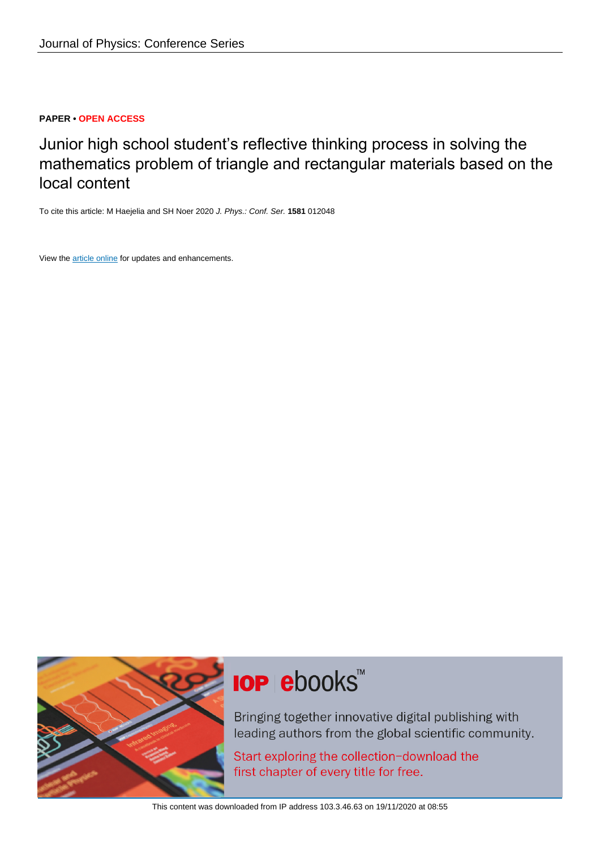# **PAPER • OPEN ACCESS**

Junior high school student's reflective thinking process in solving the mathematics problem of triangle and rectangular materials based on the local content

To cite this article: M Haejelia and SH Noer 2020 J. Phys.: Conf. Ser. **1581** 012048

View the [article online](https://doi.org/10.1088/1742-6596/1581/1/012048) for updates and enhancements.



# **IOP ebooks™**

Bringing together innovative digital publishing with leading authors from the global scientific community.

Start exploring the collection-download the first chapter of every title for free.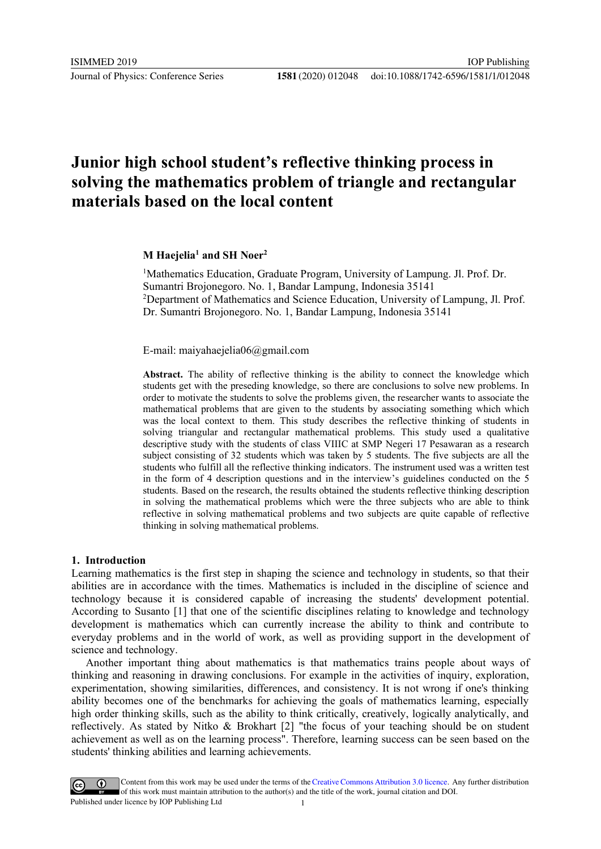Journal of Physics: Conference Series **1581** (2020) 012048

# **Junior high school student's reflective thinking process in solving the mathematics problem of triangle and rectangular materials based on the local content**

## **M Haejelia<sup>1</sup> and SH Noer<sup>2</sup>**

<sup>1</sup>Mathematics Education, Graduate Program, University of Lampung. Jl. Prof. Dr. Sumantri Brojonegoro. No. 1, Bandar Lampung, Indonesia 35141 <sup>2</sup>Department of Mathematics and Science Education, University of Lampung, Jl. Prof. Dr. Sumantri Brojonegoro. No. 1, Bandar Lampung, Indonesia 35141

E-mail: maiyahaejelia06@gmail.com

**Abstract.** The ability of reflective thinking is the ability to connect the knowledge which students get with the preseding knowledge, so there are conclusions to solve new problems. In order to motivate the students to solve the problems given, the researcher wants to associate the mathematical problems that are given to the students by associating something which which was the local context to them. This study describes the reflective thinking of students in solving triangular and rectangular mathematical problems. This study used a qualitative descriptive study with the students of class VIIIC at SMP Negeri 17 Pesawaran as a research subject consisting of 32 students which was taken by 5 students. The five subjects are all the students who fulfill all the reflective thinking indicators. The instrument used was a written test in the form of 4 description questions and in the interview's guidelines conducted on the 5 students. Based on the research, the results obtained the students reflective thinking description in solving the mathematical problems which were the three subjects who are able to think reflective in solving mathematical problems and two subjects are quite capable of reflective thinking in solving mathematical problems.

## **1. Introduction**

Learning mathematics is the first step in shaping the science and technology in students, so that their abilities are in accordance with the times. Mathematics is included in the discipline of science and technology because it is considered capable of increasing the students' development potential. According to Susanto [1] that one of the scientific disciplines relating to knowledge and technology development is mathematics which can currently increase the ability to think and contribute to everyday problems and in the world of work, as well as providing support in the development of science and technology.

Another important thing about mathematics is that mathematics trains people about ways of thinking and reasoning in drawing conclusions. For example in the activities of inquiry, exploration, experimentation, showing similarities, differences, and consistency. It is not wrong if one's thinking ability becomes one of the benchmarks for achieving the goals of mathematics learning, especially high order thinking skills, such as the ability to think critically, creatively, logically analytically, and reflectively. As stated by Nitko & Brokhart [2] "the focus of your teaching should be on student achievement as well as on the learning process". Therefore, learning success can be seen based on the students' thinking abilities and learning achievements.

Content from this work may be used under the terms of the Creative Commons Attribution 3.0 licence. Any further distribution of this work must maintain attribution to the author(s) and the title of the work, journal citation and DOI. Published under licence by IOP Publishing Ltd 1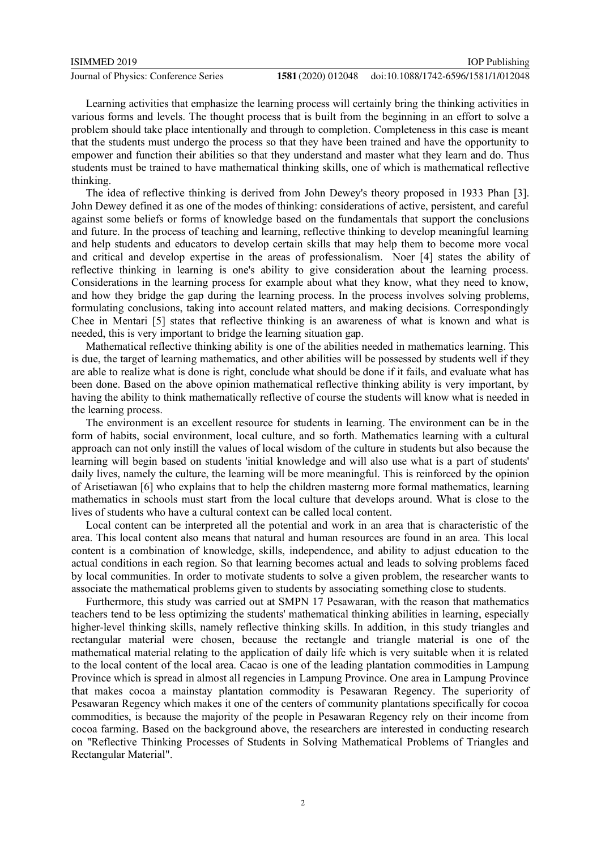#### doi:10.1088/1742-6596/1581/1/012048

Learning activities that emphasize the learning process will certainly bring the thinking activities in various forms and levels. The thought process that is built from the beginning in an effort to solve a problem should take place intentionally and through to completion. Completeness in this case is meant that the students must undergo the process so that they have been trained and have the opportunity to empower and function their abilities so that they understand and master what they learn and do. Thus students must be trained to have mathematical thinking skills, one of which is mathematical reflective thinking.

The idea of reflective thinking is derived from John Dewey's theory proposed in 1933 Phan [3]. John Dewey defined it as one of the modes of thinking: considerations of active, persistent, and careful against some beliefs or forms of knowledge based on the fundamentals that support the conclusions and future. In the process of teaching and learning, reflective thinking to develop meaningful learning and help students and educators to develop certain skills that may help them to become more vocal and critical and develop expertise in the areas of professionalism. Noer [4] states the ability of reflective thinking in learning is one's ability to give consideration about the learning process. Considerations in the learning process for example about what they know, what they need to know, and how they bridge the gap during the learning process. In the process involves solving problems, formulating conclusions, taking into account related matters, and making decisions. Correspondingly Chee in Mentari [5] states that reflective thinking is an awareness of what is known and what is needed, this is very important to bridge the learning situation gap.

Mathematical reflective thinking ability is one of the abilities needed in mathematics learning. This is due, the target of learning mathematics, and other abilities will be possessed by students well if they are able to realize what is done is right, conclude what should be done if it fails, and evaluate what has been done. Based on the above opinion mathematical reflective thinking ability is very important, by having the ability to think mathematically reflective of course the students will know what is needed in the learning process.

The environment is an excellent resource for students in learning. The environment can be in the form of habits, social environment, local culture, and so forth. Mathematics learning with a cultural approach can not only instill the values of local wisdom of the culture in students but also because the learning will begin based on students 'initial knowledge and will also use what is a part of students' daily lives, namely the culture, the learning will be more meaningful. This is reinforced by the opinion of Arisetiawan [6] who explains that to help the children masterng more formal mathematics, learning mathematics in schools must start from the local culture that develops around. What is close to the lives of students who have a cultural context can be called local content.

Local content can be interpreted all the potential and work in an area that is characteristic of the area. This local content also means that natural and human resources are found in an area. This local content is a combination of knowledge, skills, independence, and ability to adjust education to the actual conditions in each region. So that learning becomes actual and leads to solving problems faced by local communities. In order to motivate students to solve a given problem, the researcher wants to associate the mathematical problems given to students by associating something close to students.

Furthermore, this study was carried out at SMPN 17 Pesawaran, with the reason that mathematics teachers tend to be less optimizing the students' mathematical thinking abilities in learning, especially higher-level thinking skills, namely reflective thinking skills. In addition, in this study triangles and rectangular material were chosen, because the rectangle and triangle material is one of the mathematical material relating to the application of daily life which is very suitable when it is related to the local content of the local area. Cacao is one of the leading plantation commodities in Lampung Province which is spread in almost all regencies in Lampung Province. One area in Lampung Province that makes cocoa a mainstay plantation commodity is Pesawaran Regency. The superiority of Pesawaran Regency which makes it one of the centers of community plantations specifically for cocoa commodities, is because the majority of the people in Pesawaran Regency rely on their income from cocoa farming. Based on the background above, the researchers are interested in conducting research on "Reflective Thinking Processes of Students in Solving Mathematical Problems of Triangles and Rectangular Material".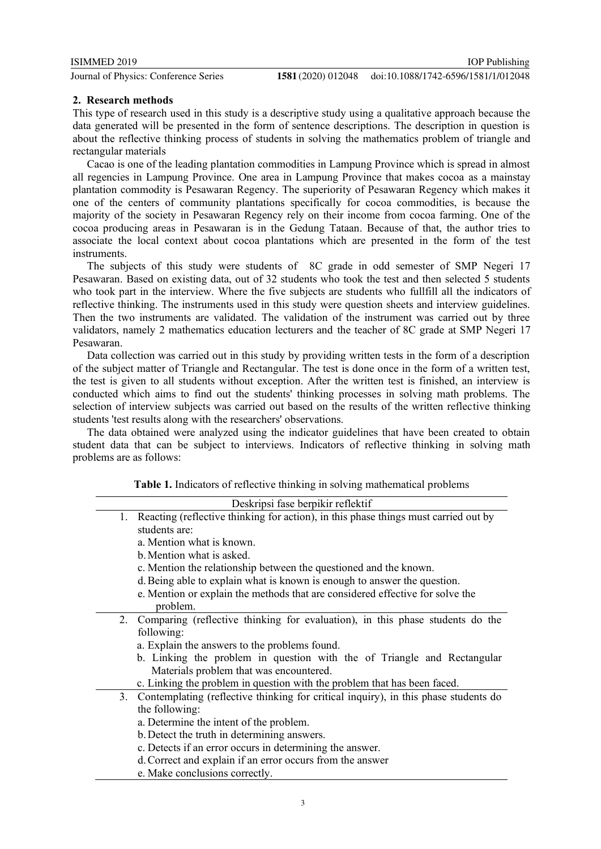Journal of Physics: Conference Series **1581** (2020) 012048

# doi:10.1088/1742-6596/1581/1/012048

## **2. Research methods**

This type of research used in this study is a descriptive study using a qualitative approach because the data generated will be presented in the form of sentence descriptions. The description in question is about the reflective thinking process of students in solving the mathematics problem of triangle and rectangular materials

Cacao is one of the leading plantation commodities in Lampung Province which is spread in almost all regencies in Lampung Province. One area in Lampung Province that makes cocoa as a mainstay plantation commodity is Pesawaran Regency. The superiority of Pesawaran Regency which makes it one of the centers of community plantations specifically for cocoa commodities, is because the majority of the society in Pesawaran Regency rely on their income from cocoa farming. One of the cocoa producing areas in Pesawaran is in the Gedung Tataan. Because of that, the author tries to associate the local context about cocoa plantations which are presented in the form of the test instruments.

The subjects of this study were students of 8C grade in odd semester of SMP Negeri 17 Pesawaran. Based on existing data, out of 32 students who took the test and then selected 5 students who took part in the interview. Where the five subjects are students who fullfill all the indicators of reflective thinking. The instruments used in this study were question sheets and interview guidelines. Then the two instruments are validated. The validation of the instrument was carried out by three validators, namely 2 mathematics education lecturers and the teacher of 8C grade at SMP Negeri 17 Pesawaran.

Data collection was carried out in this study by providing written tests in the form of a description of the subject matter of Triangle and Rectangular. The test is done once in the form of a written test, the test is given to all students without exception. After the written test is finished, an interview is conducted which aims to find out the students' thinking processes in solving math problems. The selection of interview subjects was carried out based on the results of the written reflective thinking students 'test results along with the researchers' observations.

The data obtained were analyzed using the indicator guidelines that have been created to obtain student data that can be subject to interviews. Indicators of reflective thinking in solving math problems are as follows:

|    | Deskripsi fase berpikir reflektif                                                   |
|----|-------------------------------------------------------------------------------------|
| 1. | Reacting (reflective thinking for action), in this phase things must carried out by |
|    | students are:                                                                       |
|    | a. Mention what is known.                                                           |
|    | b. Mention what is asked.                                                           |
|    | c. Mention the relationship between the questioned and the known.                   |
|    | d. Being able to explain what is known is enough to answer the question.            |
|    | e. Mention or explain the methods that are considered effective for solve the       |
|    | problem.                                                                            |
|    | 2. Comparing (reflective thinking for evaluation), in this phase students do the    |
|    | following:                                                                          |
|    | a. Explain the answers to the problems found.                                       |
|    | b. Linking the problem in question with the of Triangle and Rectangular             |
|    | Materials problem that was encountered.                                             |
|    | c. Linking the problem in question with the problem that has been faced.            |
| 3. | Contemplating (reflective thinking for critical inquiry), in this phase students do |
|    | the following:                                                                      |
|    | a. Determine the intent of the problem.                                             |
|    | b. Detect the truth in determining answers.                                         |
|    | c. Detects if an error occurs in determining the answer.                            |
|    | d. Correct and explain if an error occurs from the answer                           |
|    | e. Make conclusions correctly.                                                      |

**Table 1.** Indicators of reflective thinking in solving mathematical problems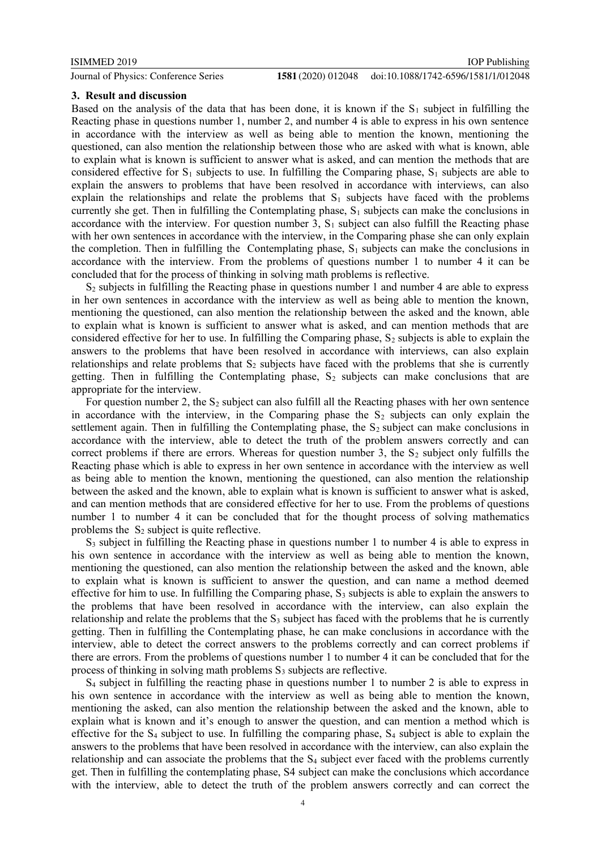Journal of Physics: Conference Series **1581** (2020) 012048

#### doi:10.1088/1742-6596/1581/1/012048

#### **3. Result and discussion**

Based on the analysis of the data that has been done, it is known if the  $S_1$  subject in fulfilling the Reacting phase in questions number 1, number 2, and number 4 is able to express in his own sentence in accordance with the interview as well as being able to mention the known, mentioning the questioned, can also mention the relationship between those who are asked with what is known, able to explain what is known is sufficient to answer what is asked, and can mention the methods that are considered effective for  $S_1$  subjects to use. In fulfilling the Comparing phase,  $S_1$  subjects are able to explain the answers to problems that have been resolved in accordance with interviews, can also explain the relationships and relate the problems that  $S_1$  subjects have faced with the problems currently she get. Then in fulfilling the Contemplating phase, S<sub>1</sub> subjects can make the conclusions in accordance with the interview. For question number 3,  $S_1$  subject can also fulfill the Reacting phase with her own sentences in accordance with the interview, in the Comparing phase she can only explain the completion. Then in fulfilling the Contemplating phase,  $S_1$  subjects can make the conclusions in accordance with the interview. From the problems of questions number 1 to number 4 it can be concluded that for the process of thinking in solving math problems is reflective.

 $S_2$  subjects in fulfilling the Reacting phase in questions number 1 and number 4 are able to express in her own sentences in accordance with the interview as well as being able to mention the known, mentioning the questioned, can also mention the relationship between the asked and the known, able to explain what is known is sufficient to answer what is asked, and can mention methods that are considered effective for her to use. In fulfilling the Comparing phase,  $S_2$  subjects is able to explain the answers to the problems that have been resolved in accordance with interviews, can also explain relationships and relate problems that  $S_2$  subjects have faced with the problems that she is currently getting. Then in fulfilling the Contemplating phase,  $S_2$  subjects can make conclusions that are appropriate for the interview.

For question number 2, the  $S_2$  subject can also fulfill all the Reacting phases with her own sentence in accordance with the interview, in the Comparing phase the  $S_2$  subjects can only explain the settlement again. Then in fulfilling the Contemplating phase, the  $S_2$  subject can make conclusions in accordance with the interview, able to detect the truth of the problem answers correctly and can correct problems if there are errors. Whereas for question number 3, the  $S_2$  subject only fulfills the Reacting phase which is able to express in her own sentence in accordance with the interview as well as being able to mention the known, mentioning the questioned, can also mention the relationship between the asked and the known, able to explain what is known is sufficient to answer what is asked, and can mention methods that are considered effective for her to use. From the problems of questions number 1 to number 4 it can be concluded that for the thought process of solving mathematics problems the  $S_2$  subject is quite reflective.

 $S_3$  subject in fulfilling the Reacting phase in questions number 1 to number 4 is able to express in his own sentence in accordance with the interview as well as being able to mention the known, mentioning the questioned, can also mention the relationship between the asked and the known, able to explain what is known is sufficient to answer the question, and can name a method deemed effective for him to use. In fulfilling the Comparing phase,  $S_3$  subjects is able to explain the answers to the problems that have been resolved in accordance with the interview, can also explain the relationship and relate the problems that the  $S_3$  subject has faced with the problems that he is currently getting. Then in fulfilling the Contemplating phase, he can make conclusions in accordance with the interview, able to detect the correct answers to the problems correctly and can correct problems if there are errors. From the problems of questions number 1 to number 4 it can be concluded that for the process of thinking in solving math problems  $S_3$  subjects are reflective.

 $S_4$  subject in fulfilling the reacting phase in questions number 1 to number 2 is able to express in his own sentence in accordance with the interview as well as being able to mention the known, mentioning the asked, can also mention the relationship between the asked and the known, able to explain what is known and it's enough to answer the question, and can mention a method which is effective for the  $S_4$  subject to use. In fulfilling the comparing phase,  $S_4$  subject is able to explain the answers to the problems that have been resolved in accordance with the interview, can also explain the relationship and can associate the problems that the S4 subject ever faced with the problems currently get. Then in fulfilling the contemplating phase, S4 subject can make the conclusions which accordance with the interview, able to detect the truth of the problem answers correctly and can correct the